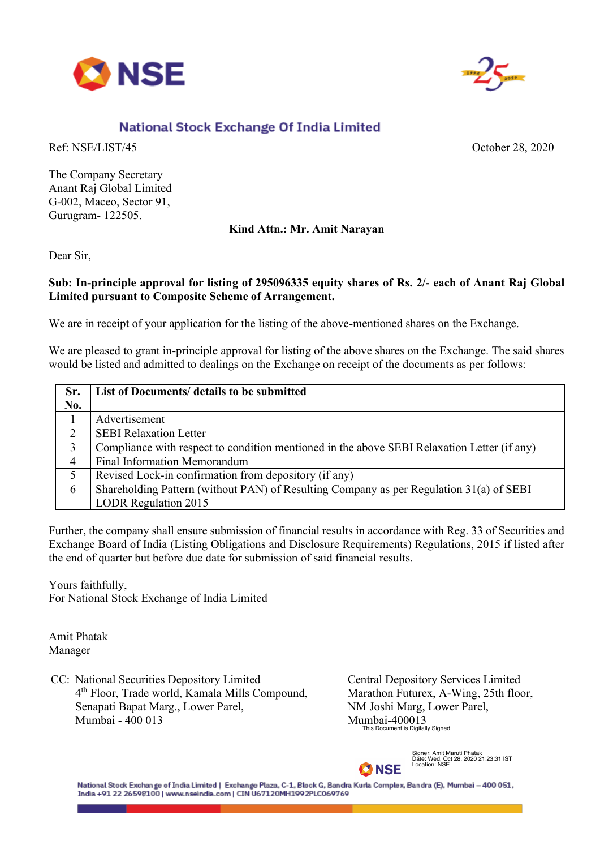



## National Stock Exchange Of India Limited

Ref: NSE/LIST/45 October 28, 2020

The Company Secretary Anant Raj Global Limited G-002, Maceo, Sector 91, Gurugram- 122505.

## **Kind Attn.: Mr. Amit Narayan**

Dear Sir,

## **Sub: In-principle approval for listing of 295096335 equity shares of Rs. 2/- each of Anant Raj Global Limited pursuant to Composite Scheme of Arrangement.**

We are in receipt of your application for the listing of the above-mentioned shares on the Exchange.

We are pleased to grant in-principle approval for listing of the above shares on the Exchange. The said shares would be listed and admitted to dealings on the Exchange on receipt of the documents as per follows:

| Sr.<br>No. | List of Documents/ details to be submitted                                                  |
|------------|---------------------------------------------------------------------------------------------|
|            | Advertisement                                                                               |
| 2          | <b>SEBI Relaxation Letter</b>                                                               |
| 3          | Compliance with respect to condition mentioned in the above SEBI Relaxation Letter (if any) |
| 4          | <b>Final Information Memorandum</b>                                                         |
|            | Revised Lock-in confirmation from depository (if any)                                       |
| 6          | Shareholding Pattern (without PAN) of Resulting Company as per Regulation 31(a) of SEBI     |
|            | <b>LODR Regulation 2015</b>                                                                 |

Further, the company shall ensure submission of financial results in accordance with Reg. 33 of Securities and Exchange Board of India (Listing Obligations and Disclosure Requirements) Regulations, 2015 if listed after the end of quarter but before due date for submission of said financial results.

Yours faithfully, For National Stock Exchange of India Limited

Amit Phatak Manager

CC: National Securities Depository Limited 4th Floor, Trade world, Kamala Mills Compound, Senapati Bapat Marg., Lower Parel, Mumbai - 400 013

Central Depository Services Limited Marathon Futurex, A-Wing, 25th floor, NM Joshi Marg, Lower Parel, Mumbai-400013 This Document is Digitally Signed



Signer: Amit Maruti Phatak Date: Wed, Oct 28, 2020 21:23:31 IST Location: NSE